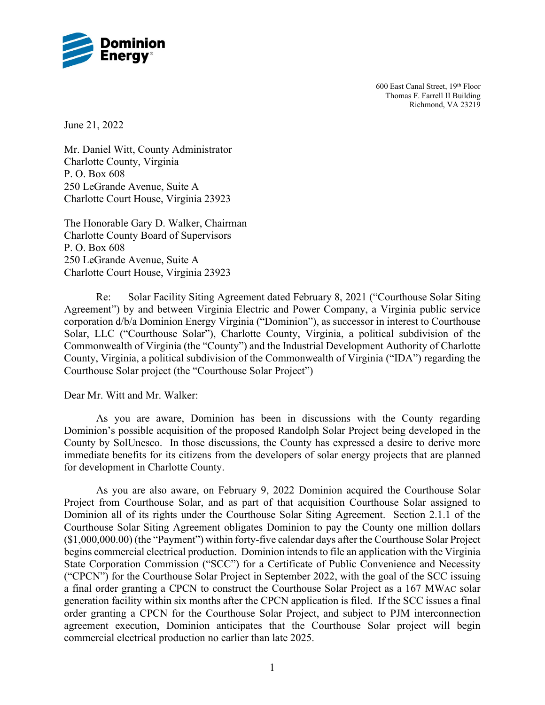

600 East Canal Street, 19th Floor Thomas F. Farrell II Building Richmond, VA 23219

June 21, 2022

Mr. Daniel Witt, County Administrator Charlotte County, Virginia P. O. Box 608 250 LeGrande Avenue, Suite A Charlotte Court House, Virginia 23923

The Honorable Gary D. Walker, Chairman Charlotte County Board of Supervisors P. O. Box 608 250 LeGrande Avenue, Suite A Charlotte Court House, Virginia 23923

Re: Solar Facility Siting Agreement dated February 8, 2021 ("Courthouse Solar Siting Agreement") by and between Virginia Electric and Power Company, a Virginia public service corporation d/b/a Dominion Energy Virginia ("Dominion"), as successor in interest to Courthouse Solar, LLC ("Courthouse Solar"), Charlotte County, Virginia, a political subdivision of the Commonwealth of Virginia (the "County") and the Industrial Development Authority of Charlotte County, Virginia, a political subdivision of the Commonwealth of Virginia ("IDA") regarding the Courthouse Solar project (the "Courthouse Solar Project")

Dear Mr. Witt and Mr. Walker:

As you are aware, Dominion has been in discussions with the County regarding Dominion's possible acquisition of the proposed Randolph Solar Project being developed in the County by SolUnesco. In those discussions, the County has expressed a desire to derive more immediate benefits for its citizens from the developers of solar energy projects that are planned for development in Charlotte County.

As you are also aware, on February 9, 2022 Dominion acquired the Courthouse Solar Project from Courthouse Solar, and as part of that acquisition Courthouse Solar assigned to Dominion all of its rights under the Courthouse Solar Siting Agreement. Section 2.1.1 of the Courthouse Solar Siting Agreement obligates Dominion to pay the County one million dollars (\$1,000,000.00) (the "Payment") within forty-five calendar days after the Courthouse Solar Project begins commercial electrical production. Dominion intends to file an application with the Virginia State Corporation Commission ("SCC") for a Certificate of Public Convenience and Necessity ("CPCN") for the Courthouse Solar Project in September 2022, with the goal of the SCC issuing a final order granting a CPCN to construct the Courthouse Solar Project as a 167 MWAC solar generation facility within six months after the CPCN application is filed. If the SCC issues a final order granting a CPCN for the Courthouse Solar Project, and subject to PJM interconnection agreement execution, Dominion anticipates that the Courthouse Solar project will begin commercial electrical production no earlier than late 2025.